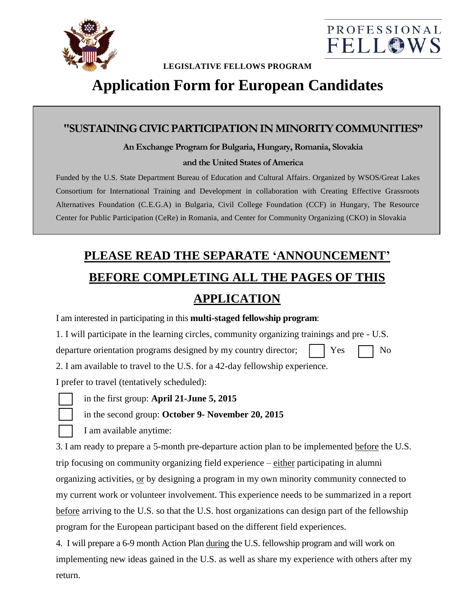



#### **LEGISLATIVE FELLOWS PROGRAM**

# **Application Form for European Candidates**

#### **"SUSTAINING CIVICPARTICIPATION IN MINORITY COMMUNITIES"**

#### **An Exchange Program for Bulgaria, Hungary, Romania, Slovakia and the United States of America**

Funded by the U.S. State Department Bureau of Education and Cultural Affairs. Organized by WSOS/Great Lakes Consortium for International Training and Development in collaboration with Creating Effective Grassroots Alternatives Foundation (C.E.G.A) in Bulgaria, Civil College Foundation (CCF) in Hungary, The Resource Center for Public Participation (CeRe) in Romania, and Center for Community Organizing (CKO) in Slovakia

# **PLEASE READ THE SEPARATE 'ANNOUNCEMENT' BEFORE COMPLETING ALL THE PAGES OF THIS**

## **APPLICATION**

| I am interested in participating in this <b>multi-staged fellowship program</b> :              |
|------------------------------------------------------------------------------------------------|
| 1. I will participate in the learning circles, community organizing trainings and pre - U.S.   |
| departure orientation programs designed by my country director;<br>Yes<br>No                   |
| 2. I am available to travel to the U.S. for a 42-day fellowship experience.                    |
| I prefer to travel (tentatively scheduled):                                                    |
| in the first group: April 21-June 5, 2015                                                      |
| in the second group: October 9- November 20, 2015                                              |
| I am available anytime:                                                                        |
| 3. I am ready to prepare a 5-month pre-departure action plan to be implemented before the U.S. |
| trip focusing on community organizing field experience – either participating in alumni        |
| organizing activities, or by designing a program in my own minority community connected to     |
| my current work or volunteer involvement. This experience needs to be summarized in a report   |

before arriving to the U.S. so that the U.S. host organizations can design part of the fellowship program for the European participant based on the different field experiences.

4. I will prepare a 6-9 month Action Plan during the U.S. fellowship program and will work on implementing new ideas gained in the U.S. as well as share my experience with others after my return.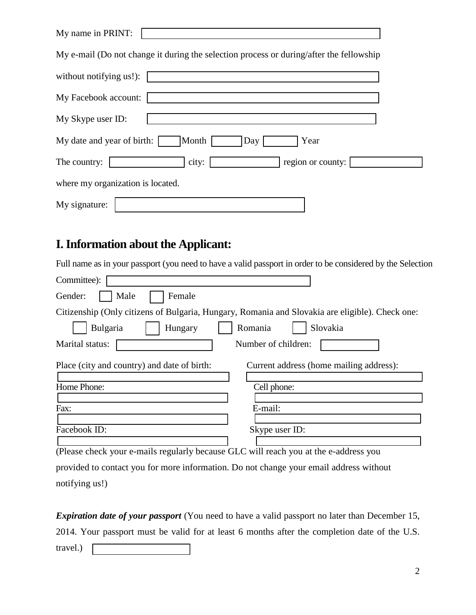| My name in PRINT:                                                                       |
|-----------------------------------------------------------------------------------------|
| My e-mail (Do not change it during the selection process or during/after the fellowship |
| without notifying us!):                                                                 |
| My Facebook account:                                                                    |
| My Skype user ID:                                                                       |
| Month<br>My date and year of birth:<br>Year<br>Day                                      |
| city:<br>region or county:<br>The country:                                              |
| where my organization is located.                                                       |
| My signature:                                                                           |

## **I. Information about the Applicant:**

Full name as in your passport (you need to have a valid passport in order to be considered by the Selection

| Committee):                                                                                     |
|-------------------------------------------------------------------------------------------------|
| Male<br>Female<br>Gender:                                                                       |
| Citizenship (Only citizens of Bulgaria, Hungary, Romania and Slovakia are eligible). Check one: |
| Slovakia<br>Bulgaria<br>Romania<br>Hungary                                                      |
| Marital status:<br>Number of children:                                                          |
| Place (city and country) and date of birth:<br>Current address (home mailing address):          |
| Home Phone:<br>Cell phone:                                                                      |
| Fax:<br>E-mail:                                                                                 |
| Facebook ID:<br>Skype user ID:                                                                  |
| (Please check your e-mails regularly because GLC will reach you at the e-address you            |
| provided to contact you for more information. Do not change your email address without          |

notifying us!)

*Expiration date of your passport* (You need to have a valid passport no later than December 15, 2014. Your passport must be valid for at least 6 months after the completion date of the U.S.

travel.)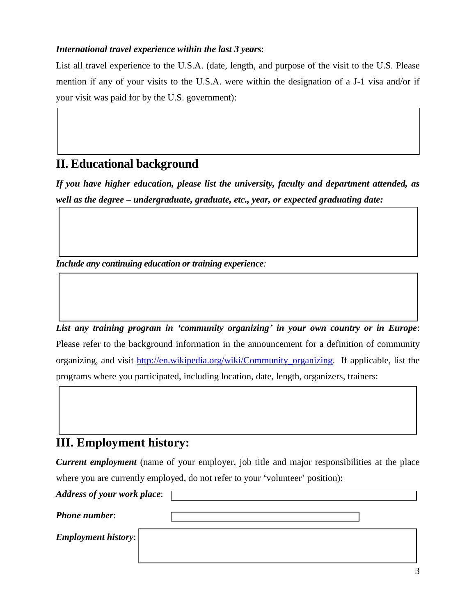#### *International travel experience within the last 3 years*:

List all travel experience to the U.S.A. (date, length, and purpose of the visit to the U.S. Please mention if any of your visits to the U.S.A. were within the designation of a J-1 visa and/or if your visit was paid for by the U.S. government):

### **II. Educational background**

*If you have higher education, please list the university, faculty and department attended, as well as the degree – undergraduate, graduate, etc., year, or expected graduating date:*

*Include any continuing education or training experience:*

*List any training program in 'community organizing' in your own country or in Europe*: Please refer to the background information in the announcement for a definition of community organizing, and visit [http://en.wikipedia.org/wiki/Community\\_organizing.](http://en.wikipedia.org/wiki/Community_organizing) If applicable, list the programs where you participated, including location, date, length, organizers, trainers:

### **III. Employment history:**

*Current employment* (name of your employer, job title and major responsibilities at the place where you are currently employed, do not refer to your 'volunteer' position):

*Address of your work place*: *Phone number*: *Employment history*: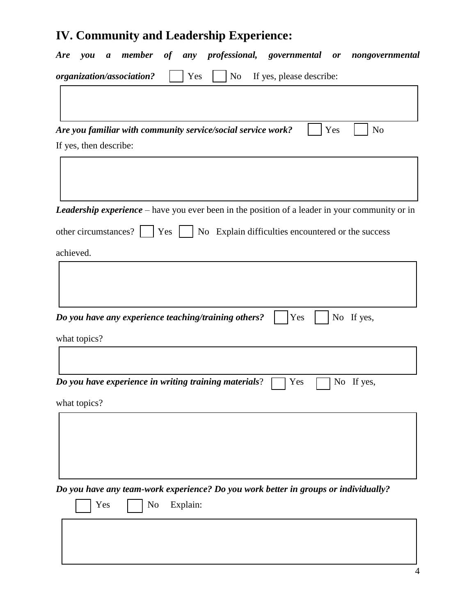# **IV. Community and Leadership Experience:**

| a member of any professional, governmental or nongovernmental<br><b>Are</b><br>you                    |
|-------------------------------------------------------------------------------------------------------|
| organization/association?<br>Yes<br>No<br>If yes, please describe:                                    |
|                                                                                                       |
|                                                                                                       |
| Are you familiar with community service/social service work?<br>N <sub>o</sub><br>Yes                 |
| If yes, then describe:                                                                                |
|                                                                                                       |
|                                                                                                       |
| <b>Leadership experience</b> – have you ever been in the position of a leader in your community or in |
| other circumstances?     Yes     No Explain difficulties encountered or the success                   |
| achieved.                                                                                             |
|                                                                                                       |
|                                                                                                       |
|                                                                                                       |
| Do you have any experience teaching/training others?<br>Yes<br>No If yes,                             |
| what topics?                                                                                          |
|                                                                                                       |
| Do you have experience in writing training materials?<br>No If yes,<br>Yes                            |
|                                                                                                       |
| what topics?                                                                                          |
|                                                                                                       |
|                                                                                                       |
|                                                                                                       |
| Do you have any team-work experience? Do you work better in groups or individually?                   |
| Yes<br>No<br>Explain:                                                                                 |
|                                                                                                       |
|                                                                                                       |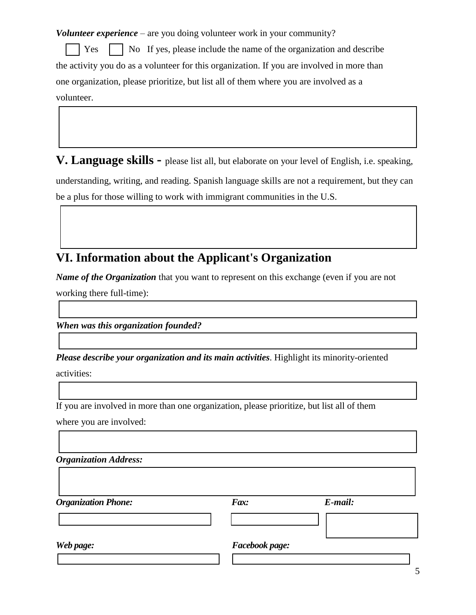*Volunteer experience* – are you doing volunteer work in your community?

Yes  $\parallel$  No If yes, please include the name of the organization and describe the activity you do as a volunteer for this organization. If you are involved in more than one organization, please prioritize, but list all of them where you are involved as a volunteer.

**V. Language skills -** please list all, but elaborate on your level of English, i.e. speaking,

understanding, writing, and reading. Spanish language skills are not a requirement, but they can be a plus for those willing to work with immigrant communities in the U.S.

## **VI. Information about the Applicant's Organization**

*Name of the Organization* that you want to represent on this exchange (even if you are not working there full-time):

*When was this organization founded?*

*Please describe your organization and its main activities*. Highlight its minority-oriented

activities:

If you are involved in more than one organization, please prioritize, but list all of them

where you are involved:

| <b>Organization Address:</b> |                |         |
|------------------------------|----------------|---------|
| <b>Organization Phone:</b>   | Fax:           | E-mail: |
| Web page:                    | Facebook page: |         |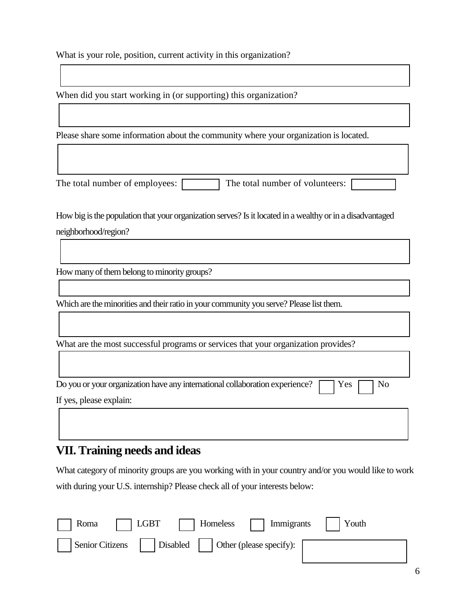What is your role, position, current activity in this organization?

When did you start working in (or supporting) this organization?

Please share some information about the community where your organization is located.

The total number of employees:  $\Box$  The total number of volunteers:  $\Box$ 

How big is the population that your organization serves? Is it located in a wealthy or in a disadvantaged neighborhood/region?

How many of them belong to minority groups?

Which are the minorities and their ratio in your community you serve? Please list them.

What are the most successful programs or services that your organization provides?

Do you or your organization have any international collaboration experience?  $\Box$  Yes  $\Box$  No If yes, please explain:

### **VII. Training needs and ideas**

What category of minority groups are you working with in your country and/or you would like to work with during your U.S. internship? Please check all of your interests below:

| Roma | LGBT                                             | Homeless     Immigrants     Youth |  |
|------|--------------------------------------------------|-----------------------------------|--|
|      | Senior Citizens Disabled Other (please specify): |                                   |  |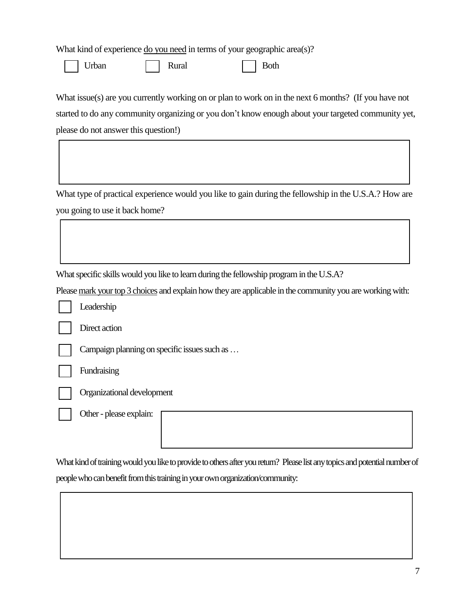What kind of experience <u>do you need</u> in terms of your geographic area(s)?

Urban Rural Rural Both

What issue(s) are you currently working on or plan to work on in the next 6 months? (If you have not started to do any community organizing or you don't know enough about your targeted community yet, please do not answer this question!)

What type of practical experience would you like to gain during the fellowship in the U.S.A.? How are you going to use it back home?

What specific skills would you like to learn during the fellowship program in the U.S.A?

Please mark your top 3 choices and explain how they are applicable in the community you are working with:

Leadership

Direct action

Campaign planning on specific issues such as …

Fundraising

Organizational development

Other- please explain:

What kind of training would you like to provide to others after you return? Please list any topics and potential number of people who can benefit from this training in your own organization/community: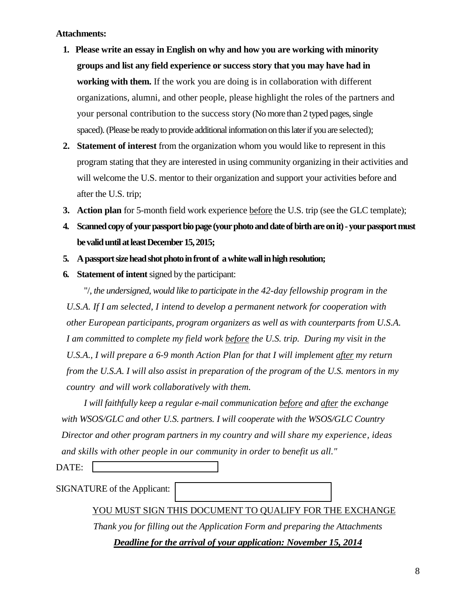#### **Attachments:**

- **1. Please write an essay in English on why and how you are working with minority groups and list any field experience or success story that you may have had in working with them.** If the work you are doing is in collaboration with different organizations, alumni, and other people, please highlight the roles of the partners and your personal contribution to the success story (No more than 2 typed pages, single spaced). (Please be ready to provide additional information on this later if you are selected);
- **2. Statement of interest** from the organization whom you would like to represent in this program stating that they are interested in using community organizing in their activities and will welcome the U.S. mentor to their organization and support your activities before and after the U.S. trip;
- **3. Action plan** for 5-month field work experience before the U.S. trip (see the GLC template);
- **4. Scanned copy of your passportbio page (your photo and date of birth are on it)-your passport must be valid until at least December 15, 2015;**
- **5. A passport size head shot photo in front of a white wall in high resolution;**
- **6. Statement of intent**signed by the participant:

"/, *the undersigned, would like to participate in the 42-day fellowship program in the* 

*U.S.A. If I am selected, I intend to develop a permanent network for cooperation with other European participants, program organizers as well as with counterparts from U.S.A. I am committed to complete my field work before the U.S. trip. During my visit in the U.S.A., I will prepare a 6-9 month Action Plan for that I will implement after my return from the U.S.A. I will also assist in preparation of the program of the U.S. mentors in my country and will work collaboratively with them.*

*I will faithfully keep a regular e-mail communication before and after the exchange with WSOS/GLC and other U.S. partners. I will cooperate with the WSOS/GLC Country Director and other program partners in my country and will share my experience, ideas and skills with other people in our community in order to benefit us all."*

DATE:

SIGNATURE of the Applicant:

#### YOU MUST SIGN THIS DOCUMENT TO QUALIFY FOR THE EXCHANGE

*Thank you for filling out the Application Form and preparing the Attachments*

*Deadline for the arrival of your application: November 15, 2014*